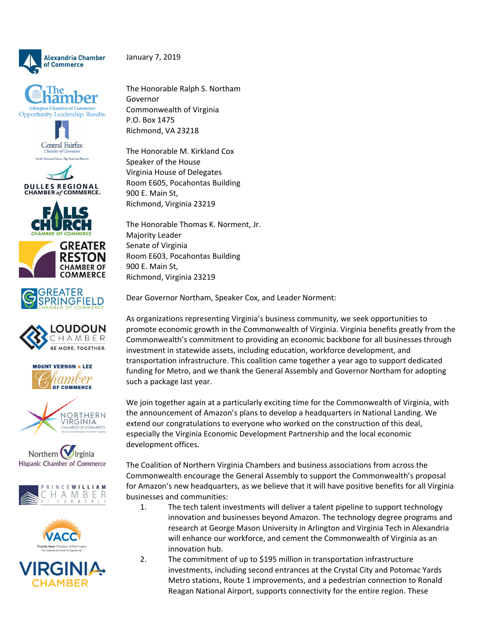

January 7, 2019



























The Honorable Ralph S. Northam Governor Commonwealth of Virginia P.O. Box 1475 Richmond, VA 23218

The Honorable M. Kirkland Cox Speaker of the House Virginia House of Delegates Room E605, Pocahontas Building 900 E. Main St, Richmond, Virginia 23219

The Honorable Thomas K. Norment, Jr. Majority Leader Senate of Virginia Room E603, Pocahontas Building 900 E. Main St, Richmond, Virginia 23219

Dear Governor Northam, Speaker Cox, and Leader Norment:

As organizations representing Virginia's business community, we seek opportunities to promote economic growth in the Commonwealth of Virginia. Virginia benefits greatly from the Commonwealth's commitment to providing an economic backbone for all businesses through investment in statewide assets, including education, workforce development, and transportation infrastructure. This coalition came together a year ago to support dedicated funding for Metro, and we thank the General Assembly and Governor Northam for adopting such a package last year.

We join together again at a particularly exciting time for the Commonwealth of Virginia, with the announcement of Amazon's plans to develop a headquarters in National Landing. We extend our congratulations to everyone who worked on the construction of this deal, especially the Virginia Economic Development Partnership and the local economic development offices.

The Coalition of Northern Virginia Chambers and business associations from across the Commonwealth encourage the General Assembly to support the Commonwealth's proposal for Amazon's new headquarters, as we believe that it will have positive benefits for all Virginia businesses and communities:

- 1. The tech talent investments will deliver a talent pipeline to support technology innovation and businesses beyond Amazon. The technology degree programs and research at George Mason University in Arlington and Virginia Tech in Alexandria will enhance our workforce, and cement the Commonwealth of Virginia as an innovation hub.
- 2. The commitment of up to \$195 million in transportation infrastructure investments, including second entrances at the Crystal City and Potomac Yards Metro stations, Route 1 improvements, and a pedestrian connection to Ronald Reagan National Airport, supports connectivity for the entire region. These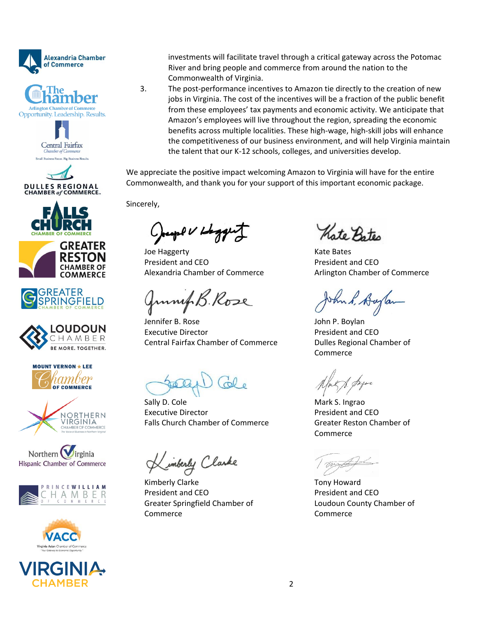























2C-II CHAMBEF



3. The post-performance incentives to Amazon tie directly to the creation of new jobs in Virginia. The cost of the incentives will be a fraction of the public benefit from these employees' tax payments and economic activity. We anticipate that Amazon's employees will live throughout the region, spreading the economic benefits across multiple localities. These high-wage, high-skill jobs will enhance the competitiveness of our business environment, and will help Virginia maintain the talent that our K-12 schools, colleges, and universities develop.

We appreciate the positive impact welcoming Amazon to Virginia will have for the entire Commonwealth, and thank you for your support of this important economic package.

Sincerely,

College 1 place

Joe Haggerty President and CEO Alexandria Chamber of Commerce

Junip B. Rose

Jennifer B. Rose Executive Director Central Fairfax Chamber of Commerce

Sally D. Cole Executive Director Falls Church Chamber of Commerce

Limberly Clarke

Kimberly Clarke President and CEO Greater Springfield Chamber of Commerce

Kate Bates

Kate Bates President and CEO Arlington Chamber of Commerce

John P. Boylan President and CEO Dulles Regional Chamber of Commerce

Mark S. Ingrao President and CEO Greater Reston Chamber of Commerce

Tony Howard President and CEO Loudoun County Chamber of Commerce